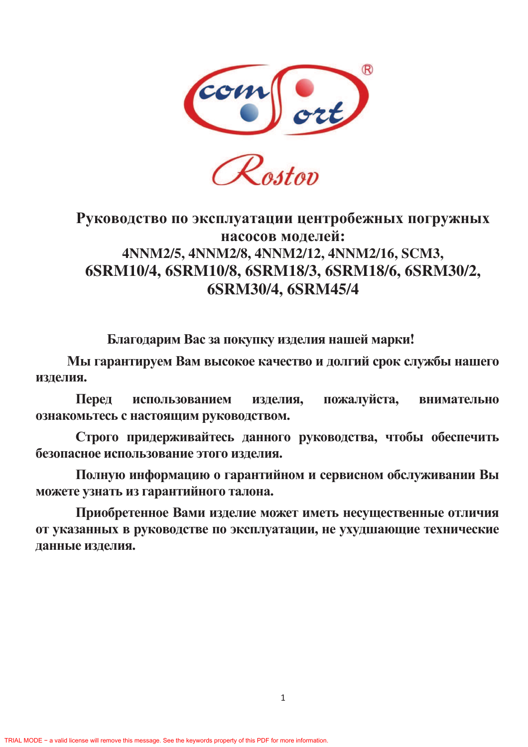

# Руководство по эксплуатации центробежных погружных насосов моделей: 4NNM2/5, 4NNM2/8, 4NNM2/12, 4NNM2/16, SCM3, 6SRM10/4, 6SRM10/8, 6SRM18/3, 6SRM18/6, 6SRM30/2, 6SRM30/4, 6SRM45/4

Благодарим Вас за покупку изделия нашей марки!

Мы гарантируем Вам высокое качество и долгий срок службы нашего изделия.

Перед использованием изделия, пожалуйста, **ВНИМАТЕЛЬНО** ознакомьтесь с настоящим руководством.

Строго придерживайтесь данного руководства, чтобы обеспечить безопасное использование этого изделия.

Полную информацию о гарантийном и сервисном обслуживании Вы можете узнать из гарантийного талона.

Приобретенное Вами изделие может иметь несущественные отличия от указанных в руководстве по эксплуатации, не ухудшающие технические данные изделия.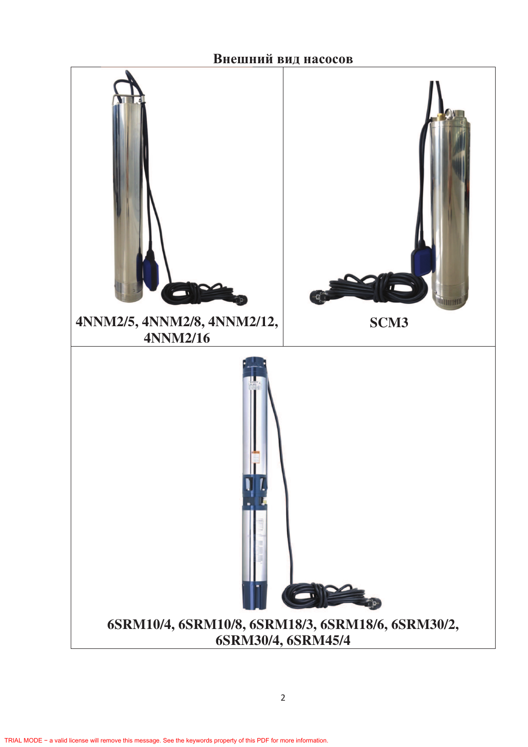Внешний вид насосов

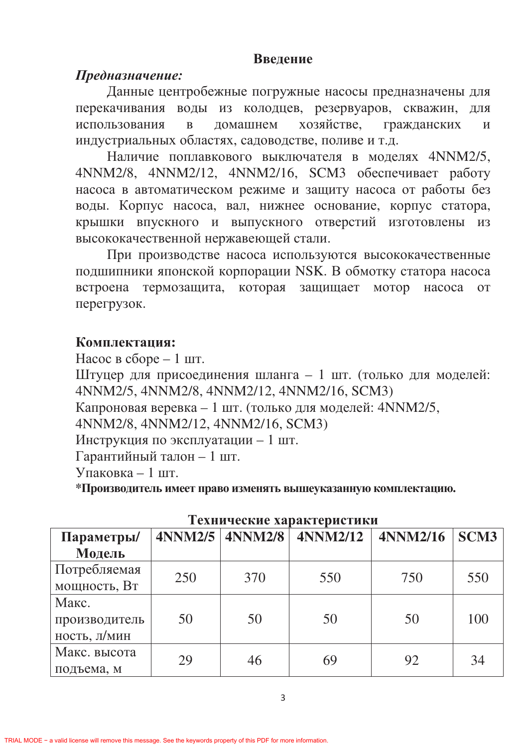### Ввеление

# Предназначение:

Данные центробежные погружные насосы предназначены для перекачивания воды из колодцев, резервуаров, скважин, для использования в домашнем хозяйстве, жданских и индустриальных областях, садоводстве, поливе и т.д.

Наличие поплавкового выключателя в моделях 4NNM2/5, 4NNM2/8, 4NNM2/12, 4NNM2/16, SCM3 обеспечивает работу насоса в автоматическом режиме и защиту насоса от работы без воды. Корпус насоса, вал, нижнее основание, корпус статора, крышки впускного и выпускного отверстий изготовлены из высококачественной нержавеющей стали.

При производстве насоса используются высококачественные подшипники японской корпорации NSK. В обмотку статора насоса встроена термозащита, которая защищает мотор насоса от перегрузок.

## Комплектация:

Насос в сборе  $-1$  шт.

Штуцер для присоединения шланга - 1 шт. (только для моделей: 4NNM2/5, 4NNM2/8, 4NNM2/12, 4NNM2/16, SCM3)

Капроновая веревка - 1 шт. (только для моделей: 4NNM2/5,

4NNM2/8, 4NNM2/12, 4NNM2/16, SCM3)

Инструкция по эксплуатации - 1 шт.

 $\Gamma$ арантийный талон - 1 шт.

 $y$ паковка – 1 шт.

\*Производитель имеет право изменять вышеуказанную комплектацию.

| телни кекие ларактеристики |     |                     |                 |                 |             |  |  |
|----------------------------|-----|---------------------|-----------------|-----------------|-------------|--|--|
| Параметры/                 |     | $4NNM2/5$ $4NNM2/8$ | <b>4NNM2/12</b> | <b>4NNM2/16</b> | <b>SCM3</b> |  |  |
| Модель                     |     |                     |                 |                 |             |  |  |
| Потребляемая               | 250 | 370                 |                 | 750             | 550         |  |  |
| мощность, Вт               |     |                     | 550             |                 |             |  |  |
| Макс.                      |     |                     |                 |                 |             |  |  |
| производитель              | 50  | 50                  | 50              | 50              | 100         |  |  |
| ность, л/мин               |     |                     |                 |                 |             |  |  |
| Макс. высота               |     |                     |                 |                 |             |  |  |
| подъема, м                 | 29  | 46                  | 69              | 92              | 34          |  |  |

### Технические узряктеристики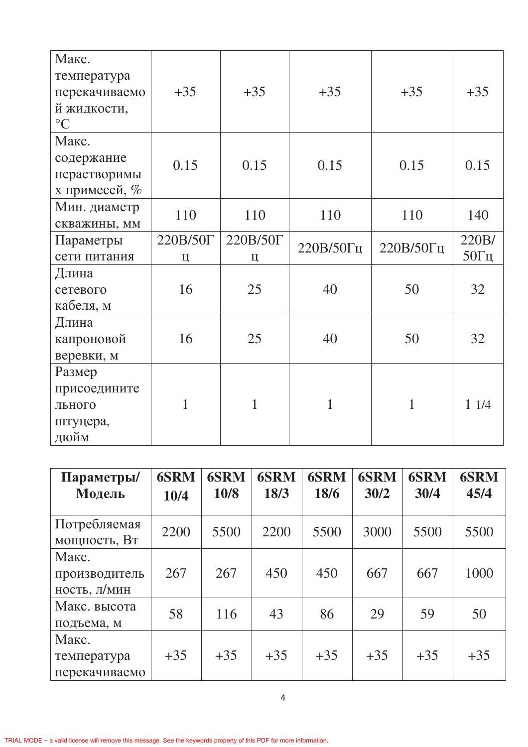| Макс.<br>температура |          |              |           |           |              |
|----------------------|----------|--------------|-----------|-----------|--------------|
| перекачиваемо        | $+35$    | $+35$        | $+35$     | $+35$     | $+35$        |
| й жидкости,          |          |              |           |           |              |
| $\rm ^{\circ}C$      |          |              |           |           |              |
| Макс.                |          |              |           |           |              |
| содержание           | 0.15     | 0.15         | 0.15      | 0.15      | 0.15         |
| нерастворимы         |          |              |           |           |              |
| х примесей, %        |          |              |           |           |              |
| Мин. диаметр         | 110      | 110          | 110       | 110       | 140          |
| скважины, мм         |          |              |           |           |              |
| Параметры            | 220B/50T | 220B/50T     | 220В/50Гц | 220В/50Гц | 220B/        |
| сети питания         | Ц        | Ц            |           |           | $50\Gamma$ ц |
| Длина                |          |              |           |           |              |
| сетевого             | 16       | 25           | 40        | 50        | 32           |
| кабеля, м            |          |              |           |           |              |
| Длина                |          |              |           |           |              |
| капроновой           | 16       | 25           | 40        | 50        | 32           |
| веревки, м           |          |              |           |           |              |
| Размер               |          |              |           |           |              |
| присоедините         |          |              |           |           |              |
| льного               | 1        | $\mathbf{1}$ | 1         | 1         | 11/4         |
| штуцера,             |          |              |           |           |              |
| дюйм                 |          |              |           |           |              |

| Параметры/<br>Модель                   | <b>6SRM</b><br>10/4 | <b>6SRM</b><br>10/8 | <b>6SRM</b><br>18/3 | <b>6SRM</b><br>18/6 | <b>6SRM</b><br>30/2 | <b>6SRM</b><br>30/4 | <b>6SRM</b><br>45/4 |
|----------------------------------------|---------------------|---------------------|---------------------|---------------------|---------------------|---------------------|---------------------|
| Потребляемая<br>мощность, Вт           | 2200                | 5500                | 2200                | 5500                | 3000                | 5500                | 5500                |
| Макс.<br>производитель<br>ность, л/мин | 267                 | 267                 | 450                 | 450                 | 667                 | 667                 | 1000                |
| Макс. высота<br>подъема, м             | 58                  | 116                 | 43                  | 86                  | 29                  | 59                  | 50                  |
| Макс.<br>температура<br>перекачиваемо  | $+35$               | $+35$               | $+35$               | $+35$               | $+35$               | $+35$               | $+35$               |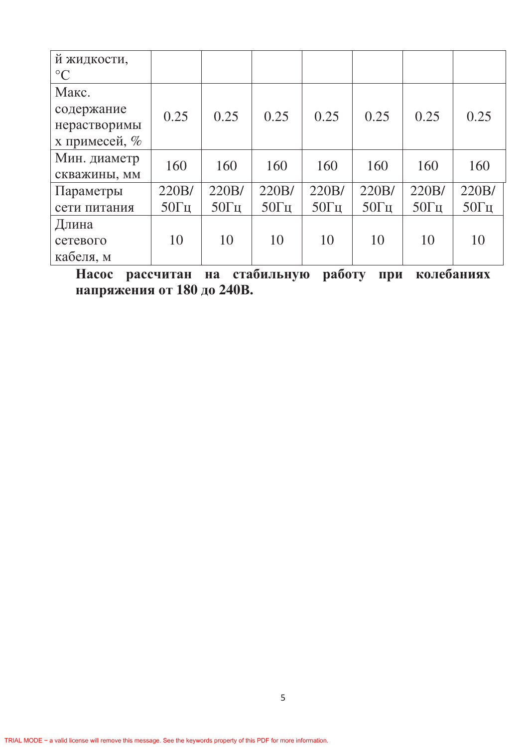| й жидкости,<br>$\rm ^{\circ}C$ |              |              |              |              |              |              |              |
|--------------------------------|--------------|--------------|--------------|--------------|--------------|--------------|--------------|
| Макс.                          |              |              |              |              |              |              |              |
| содержание                     | 0.25         | 0.25         | 0.25         | 0.25         | 0.25         | 0.25         | 0.25         |
| нерастворимы                   |              |              |              |              |              |              |              |
| х примесей, %                  |              |              |              |              |              |              |              |
| Мин. диаметр                   | 160          | 160          | 160          | 160          | 160          | 160          | 160          |
| скважины, мм                   |              |              |              |              |              |              |              |
| Параметры                      | 220B/        | 220B/        | 220B/        | 220B/        | 220B/        | 220B/        | 220B/        |
| сети питания                   | $50\Gamma$ ц | $50\Gamma$ ц | $50\Gamma$ ц | $50\Gamma$ ц | $50\Gamma$ ц | $50\Gamma$ ц | $50\Gamma$ ц |
| Длина                          |              |              |              |              |              |              |              |
| сетевого                       | 10           | 10           | 10           | 10           | 10           | 10           | 10           |
| кабеля, м                      |              |              |              |              |              |              |              |

Насос рассчитан на стабильную работу при колебаниях напряжения от 180 до 240В.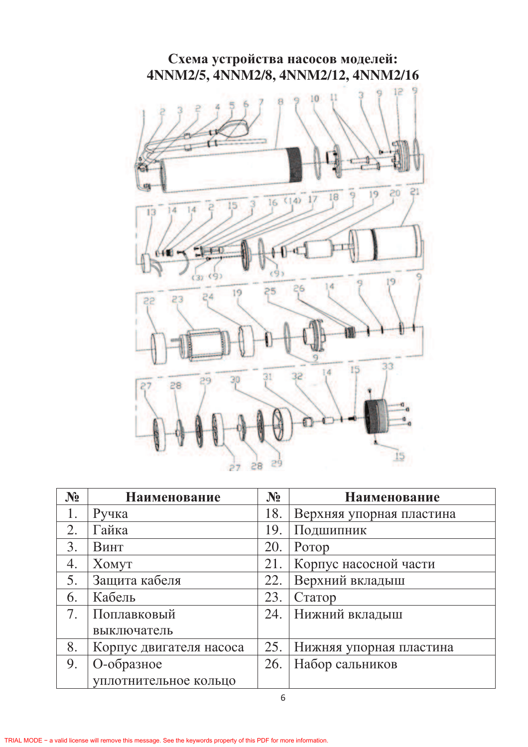

| $N_2$ | <b>Наименование</b>     | $N_2$ | Наименование             |
|-------|-------------------------|-------|--------------------------|
| 1.    | Ручка                   | 18.   | Верхняя упорная пластина |
| 2.    | Гайка                   | 19.   | Подшипник                |
| 3.    | Винт                    | 20.   | Ротор                    |
| 4.    | XOMYT                   | 21.   | Корпус насосной части    |
| 5.    | Защита кабеля           | 22.   | Верхний вкладыш          |
| 6.    | Кабель                  | 23.   | Статор                   |
| 7.    | Поплавковый             | 24.   | Нижний вкладыш           |
|       | выключатель             |       |                          |
| 8.    | Корпус двигателя насоса | 25.   | Нижняя упорная пластина  |
| 9.    | О-образное              | 26.   | Набор сальников          |
|       | уплотнительное кольцо   |       |                          |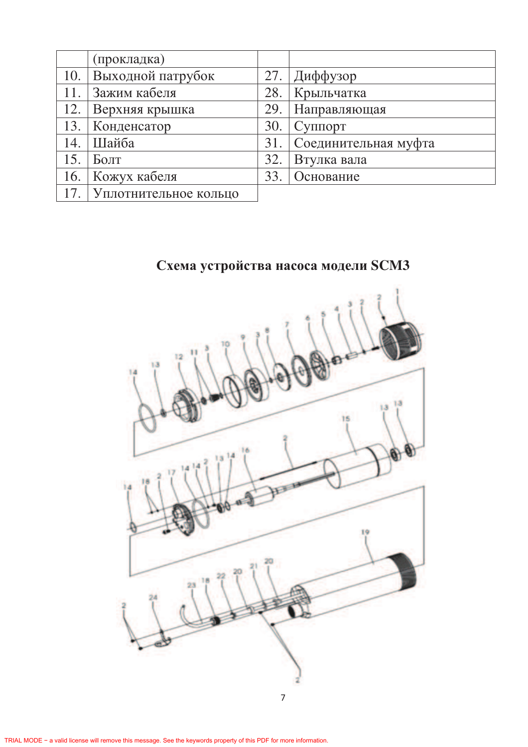|     | (прокладка)           |     |                                 |
|-----|-----------------------|-----|---------------------------------|
|     | 10. Выходной патрубок |     | 27. Диффузор                    |
| 11. | Зажим кабеля          | 28. | Крыльчатка                      |
| 12. | Верхняя крышка        | 29. | Направляющая                    |
| 13. | Конденсатор           | 30. | $\Gamma$ Cy $\pi$ <sub>10</sub> |
| 14. | Шайба                 | 31. | Соединительная муфта            |
| 15. | Болт                  | 32. | Втулка вала                     |
| 16. | Кожух кабеля          | 33. | Основание                       |
|     | Уплотнительное кольцо |     |                                 |

## Схема устройства насоса модели SCM3

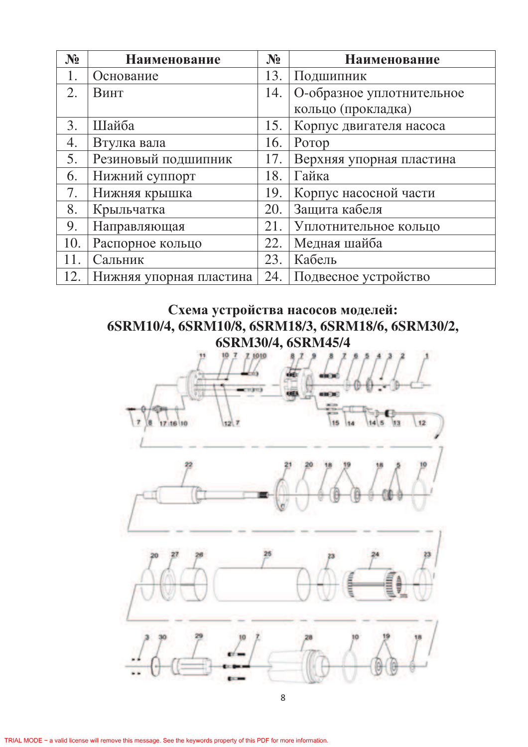| $N_2$ | Наименование            | $N_2$ | Наименование              |
|-------|-------------------------|-------|---------------------------|
|       | Основание               | 13.   | Подшипник                 |
| 2.    | Винт                    | 14.   | О-образное уплотнительное |
|       |                         |       | кольцо (прокладка)        |
| 3.    | Шайба                   | 15.   | Корпус двигателя насоса   |
| 4.    | Втулка вала             | 16.   | Porop                     |
| 5.    | Резиновый подшипник     | 17.   | Верхняя упорная пластина  |
| 6.    | Нижний суппорт          | 18.   | Гайка                     |
| 7.    | Нижняя крышка           | 19.   | Корпус насосной части     |
| 8.    | Крыльчатка              | 20.   | Защита кабеля             |
| 9.    | Направляющая            | 21.   | Уплотнительное кольцо     |
| 10.   | Распорное кольцо        | 22.   | Медная шайба              |
| 11    | Сальник                 | 23.   | Кабель                    |
| 12.   | Нижняя упорная пластина | 24.   | Подвесное устройство      |

## Схема устройства насосов моделей: **6SRM10/4, 6SRM10/8, 6SRM18/3, 6SRM18/6, 6SRM30/2, 6SRM30/4, 6SRM45/4**

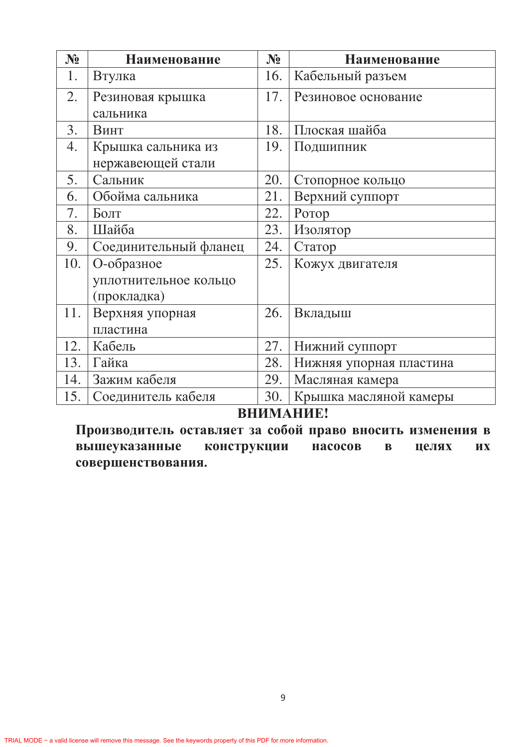| $N_2$ | Наименование          | $N_2$ | Наименование            |
|-------|-----------------------|-------|-------------------------|
| 1.    | Втулка                | 16.   | Кабельный разъем        |
| 2.    | Резиновая крышка      | 17.   | Резиновое основание     |
|       | сальника              |       |                         |
| 3.    | Винт                  | 18.   | Плоская шайба           |
| 4.    | Крышка сальника из    | 19.   | Подшипник               |
|       | нержавеющей стали     |       |                         |
| 5.    | Сальник               | 20.   | Стопорное кольцо        |
| 6.    | Обойма сальника       | 21.   | Верхний суппорт         |
| 7.    | Болт                  | 22.   | Ротор                   |
| 8.    | Шайба                 | 23.   | Изолятор                |
| 9.    | Соединительный фланец | 24.   | Статор                  |
| 10.   | О-образное            | 25.   | Кожух двигателя         |
|       | уплотнительное кольцо |       |                         |
|       | (прокладка)           |       |                         |
| 11.   | Верхняя упорная       | 26.   | Вкладыш                 |
|       | пластина              |       |                         |
| 12.   | Кабель                | 27.   | Нижний суппорт          |
| 13.   | Гайка                 | 28.   | Нижняя упорная пластина |
| 14.   | Зажим кабеля          | 29.   | Масляная камера         |
| 15.   | Соединитель кабеля    | 30.   | Крышка масляной камеры  |

# ВНИМАНИЕ!

Производитель оставляет за собой право вносить изменения в вышеуказанные конструкции насосов  $\mathbf{B}$ целях их совершенствования.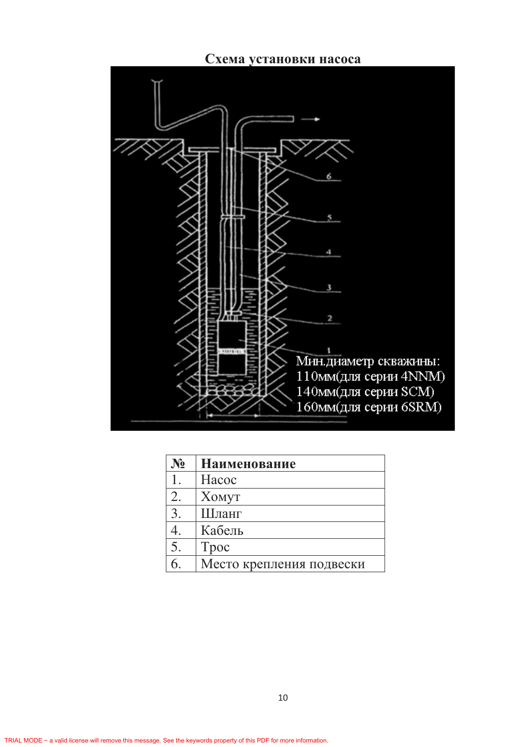



| $N_2$ | <b>Наименование</b>      |
|-------|--------------------------|
|       | Hacoc                    |
| 2.    | <b>XOMYT</b>             |
| 3.    | Шланг                    |
|       | Кабель                   |
| 5.    | Tpoc                     |
|       | Место крепления подвески |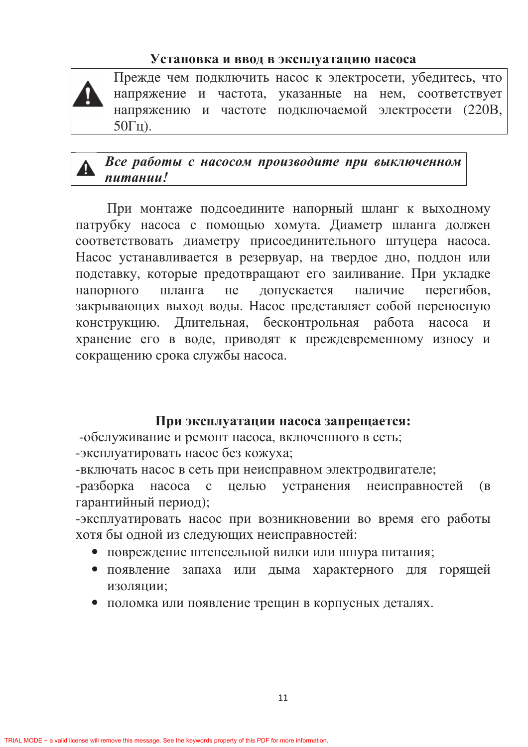#### Установка и ввод в эксплуатацию насоса

Прежде чем подключить насос к электросети, убедитесь, что напряжение и частота, указанные на нем, соответствует напряжению и частоте подключаемой электросети (220В,  $50\Gamma$ <sub>II</sub>).

## Все работы с насосом производите при выключенном питании!

При монтаже подсоедините напорный шланг к выходному патрубку насоса с помощью хомута. Диаметр шланга должен соответствовать диаметру присоединительного штуцера насоса. Насос устанавливается в резервуар, на твердое дно, поддон или подставку, которые предотвращают его заиливание. При укладке шланга не напорного допускается наличие перегибов, закрывающих выход воды. Насос представляет собой переносную конструкцию. Длительная, бесконтрольная работа насоса И хранение его в воде, приводят к преждевременному износу и сокращению срока службы насоса.

### При эксплуатации насоса запрещается:

-обслуживание и ремонт насоса, включенного в сеть;

-эксплуатировать насос без кожуха;

-включать насос в сеть при неисправном электродвигателе;

-разборка насоса с целью устранения неисправностей  $(B)$ гарантийный период);

-эксплуатировать насос при возникновении во время его работы хотя бы одной из следующих неисправностей:

- повреждение штепсельной вилки или шнура питания;
- запаха или дыма характерного для горящей • появление ИЗОЛЯЦИИ;
- поломка или появление трещин в корпусных деталях.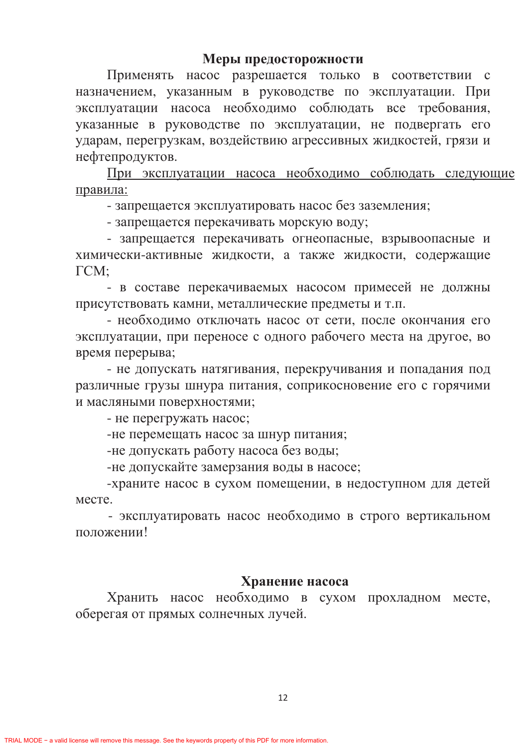#### Меры предосторожности

Применять насос разрешается только в соответствии с назначением, указанным в руководстве по эксплуатации. При эксплуатации насоса необходимо соблюдать все требования, указанные в руководстве по эксплуатации, не подвергать его ударам, перегрузкам, воздействию агрессивных жидкостей, грязи и нефтепродуктов.

При эксплуатации насоса необходимо соблюдать следующие правила:

- запрещается эксплуатировать насос без заземления;

- запрещается перекачивать морскую воду;

- запрещается перекачивать огнеопасные, взрывоопасные и химически-активные жидкости, а также жидкости, содержащие  $\Gamma CM$ :

- в составе перекачиваемых насосом примесей не должны присутствовать камни, металлические предметы и т.п.

- необходимо отключать насос от сети, после окончания его эксплуатации, при переносе с одного рабочего места на другое, во время перерыва;

- не допускать натягивания, перекручивания и попадания под различные грузы шнура питания, соприкосновение его с горячими и масляными поверхностями;

- не перегружать насос;

-не перемещать насос за шнур питания;

-не допускать работу насоса без воды;

-не допускайте замерзания воды в насосе;

-храните насос в сухом помещении, в недоступном для детей месте.

- эксплуатировать насос необходимо в строго вертикальном положении!

#### Хранение насоса

Хранить насос необходимо в сухом прохладном месте, оберегая от прямых солнечных лучей.